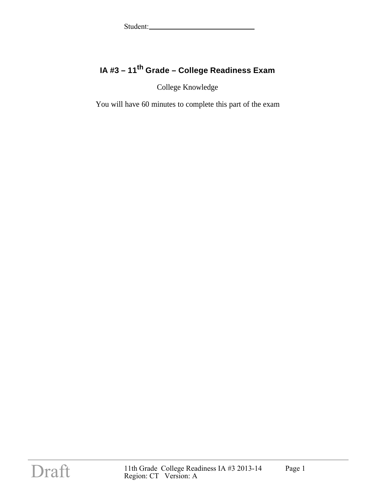### **IA #3 – 11th Grade – College Readiness Exam**

College Knowledge

You will have 60 minutes to complete this part of the exam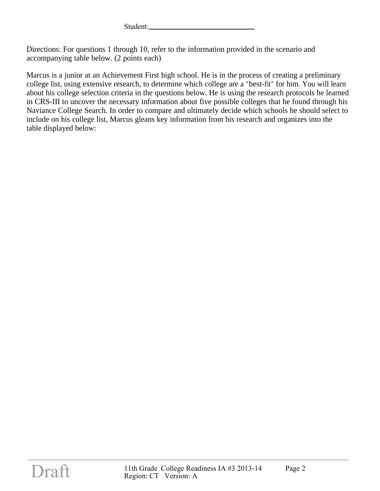Directions: For questions 1 through 10, refer to the information provided in the scenario and accompanying table below. (2 points each)

Marcus is a junior at an Achievement First high school. He is in the process of creating a preliminary college list, using extensive research, to determine which college are a 'best-fit' for him. You will learn about his college selection criteria in the questions below. He is using the research protocols he learned in CRS-III to uncover the necessary information about five possible colleges that he found through his Naviance College Search. In order to compare and ultimately decide which schools he should select to include on his college list, Marcus gleans key information from his research and organizes into the table displayed below: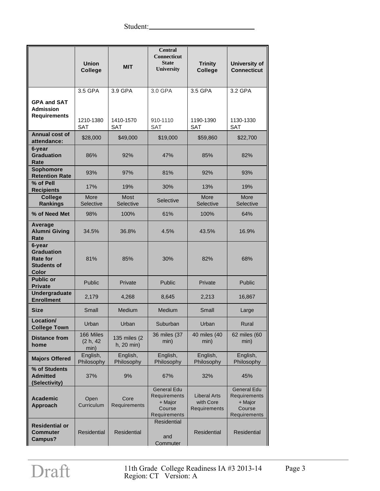|                                                                               | <b>Union</b><br><b>College</b>           | <b>MIT</b>                         | <b>Central</b><br><b>Connecticut</b><br><b>State</b><br>University                                                                 | <b>Trinity</b><br><b>College</b>                 | <b>University of</b><br><b>Connecticut</b>                              |
|-------------------------------------------------------------------------------|------------------------------------------|------------------------------------|------------------------------------------------------------------------------------------------------------------------------------|--------------------------------------------------|-------------------------------------------------------------------------|
| <b>GPA and SAT</b><br>Admission<br><b>Requirements</b>                        | 3.5 GPA<br>1210-1380<br><b>SAT</b>       | 3.9 GPA<br>1410-1570<br><b>SAT</b> | 3.0 GPA<br>910-1110<br><b>SAT</b>                                                                                                  | 3.5 GPA<br>1190-1390<br><b>SAT</b>               | 3.2 GPA<br>1130-1330<br><b>SAT</b>                                      |
| Annual cost of<br>attendance:                                                 | \$28,000                                 | \$49,000                           | \$19,000                                                                                                                           | \$59,860                                         | \$22,700                                                                |
| 6-year<br><b>Graduation</b><br>Rate                                           | 86%                                      | 92%                                | 47%                                                                                                                                | 85%                                              | 82%                                                                     |
| Sophomore<br><b>Retention Rate</b>                                            | 93%                                      | 97%                                | 81%                                                                                                                                | 92%                                              | 93%                                                                     |
| % of Pell<br><b>Recipients</b>                                                | 17%                                      | 19%                                | 30%                                                                                                                                | 13%                                              | 19%                                                                     |
| <b>College</b><br><b>Rankings</b>                                             | More<br>Selective                        | Most<br>Selective                  | Selective                                                                                                                          | More<br>Selective                                | More<br>Selective                                                       |
| % of Need Met                                                                 | 98%                                      | 100%                               | 61%                                                                                                                                | 100%                                             | 64%                                                                     |
| Average<br><b>Alumni Giving</b><br>Rate                                       | 34.5%<br>36.8%                           |                                    | 4.5%                                                                                                                               | 43.5%                                            | 16.9%                                                                   |
| 6-year<br><b>Graduation</b><br><b>Rate for</b><br><b>Students of</b><br>Color | 81%<br>85%                               |                                    | 30%                                                                                                                                | 82%                                              | 68%                                                                     |
| <b>Public or</b><br><b>Private</b>                                            | Public                                   | Private                            | Public                                                                                                                             | Private                                          | Public                                                                  |
| Undergraduate<br><b>Enrollment</b>                                            | 2,179                                    | 4,268                              | 8,645                                                                                                                              | 2,213                                            | 16,867                                                                  |
| <b>Size</b>                                                                   | Small                                    | Medium                             | Medium                                                                                                                             | Small                                            | Large                                                                   |
| Location/<br><b>College Town</b>                                              | Urban                                    | Urban                              | Suburban                                                                                                                           | Urban                                            | Rural                                                                   |
| <b>Distance from</b><br>home                                                  | 166 Miles<br>(2 h, 42)<br>min)           | 135 miles (2)<br>h, 20 min)        | 36 miles (37<br>min)                                                                                                               | 40 miles (40<br>min)                             | 62 miles (60<br>min)                                                    |
| <b>Majors Offered</b>                                                         | English,<br>Philosophy                   | English,<br>Philosophy             | English,<br>Philosophy                                                                                                             | English,<br>English,<br>Philosophy<br>Philosophy |                                                                         |
| % of Students<br><b>Admitted</b><br>(Selectivity)                             | 37%                                      | 9%                                 | 67%                                                                                                                                | 32%                                              | 45%                                                                     |
| <b>Academic</b><br><b>Approach</b>                                            | Open<br>Curriculum                       | Core<br>Requirements               | <b>General Edu</b><br><b>Requirements</b><br><b>Liberal Arts</b><br>+ Major<br>with Core<br>Course<br>Requirements<br>Requirements |                                                  | <b>General Edu</b><br>Requirements<br>+ Major<br>Course<br>Requirements |
| <b>Residential or</b><br><b>Commuter</b><br>Campus?                           | <b>Residential</b><br><b>Residential</b> |                                    | <b>Residential</b><br>and<br>Commuter                                                                                              | <b>Residential</b>                               | Residential                                                             |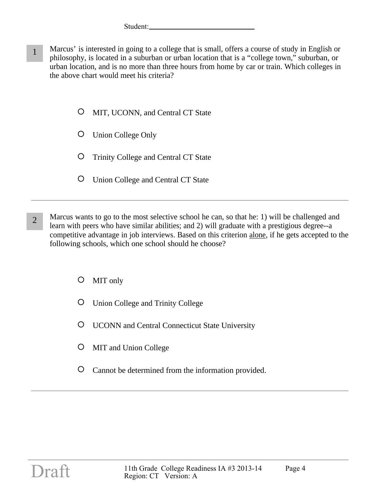- 1 Marcus' is interested in going to a college that is small, offers a course of study in English or philosophy, is located in a suburban or urban location that is a "college town," suburban, or urban location, and is no more than three hours from home by car or train. Which colleges in the above chart would meet his criteria?
	- $\circ$ MIT, UCONN, and Central CT State
	- $\circ$ Union College Only
	- $\circ$ Trinity College and Central CT State
	- $\circ$ Union College and Central CT State
- 2 Marcus wants to go to the most selective school he can, so that he: 1) will be challenged and learn with peers who have similar abilities; and 2) will graduate with a prestigious degree--a competitive advantage in job interviews. Based on this criterion alone, if he gets accepted to the following schools, which one school should he choose?
	- $\circ$ MIT only
	- O. Union College and Trinity College
	- $\circ$ UCONN and Central Connecticut State University
	- MIT and Union College
	- Cannot be determined from the information provided.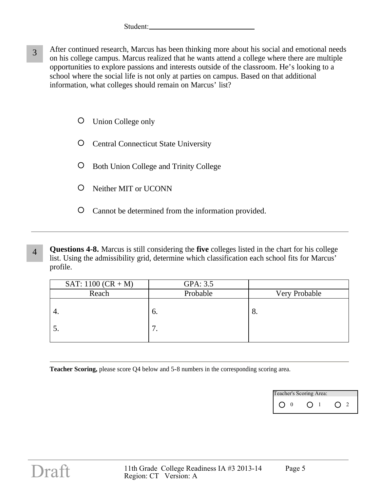- 3 After continued research, Marcus has been thinking more about his social and emotional needs on his college campus. Marcus realized that he wants attend a college where there are multiple opportunities to explore passions and interests outside of the classroom. He's looking to a school where the social life is not only at parties on campus. Based on that additional information, what colleges should remain on Marcus' list?
	- O Union College only
	- Central Connecticut State University
	- O Both Union College and Trinity College
	- Neither MIT or UCONN
	- $\circ$ Cannot be determined from the information provided.
- 4 **Questions 4-8.** Marcus is still considering the **five** colleges listed in the chart for his college list. Using the admissibility grid, determine which classification each school fits for Marcus' profile.

| SAT: $1100 (CR + M)$ | GPA: 3.5  |               |
|----------------------|-----------|---------------|
| Reach                | Probable  | Very Probable |
|                      | O.<br>. . | o.            |

**Teacher Scoring,** please score Q4 below and 5-8 numbers in the corresponding scoring area.

| Teacher's Scoring Area: |  |  |  |  |  |  |
|-------------------------|--|--|--|--|--|--|
|                         |  |  |  |  |  |  |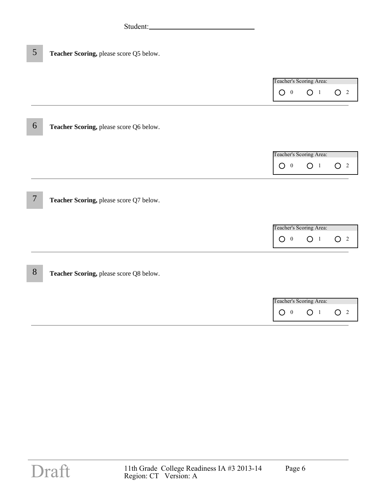O 0 0 1 O 2 Teacher's Scoring Area:

6 **Teacher Scoring,** please score Q6 below.

O 0 0 1 O 2 Teacher's Scoring Area:

7 **Teacher Scoring,** please score Q7 below.

| Teacher's Scoring Area: |  |  |  |  |  |  |
|-------------------------|--|--|--|--|--|--|
|                         |  |  |  |  |  |  |

8 **Teacher Scoring,** please score Q8 below.

| Teacher's Scoring Area: |  |  |  |  |  |  |
|-------------------------|--|--|--|--|--|--|
|                         |  |  |  |  |  |  |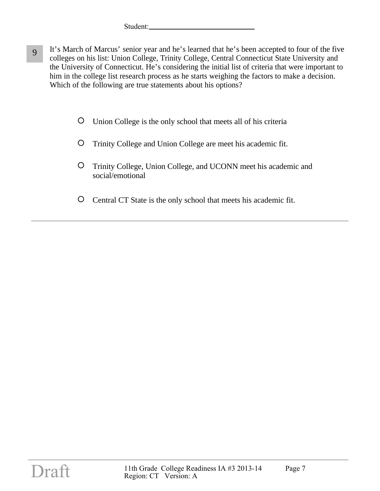- 9 It's March of Marcus' senior year and he's learned that he's been accepted to four of the five colleges on his list: Union College, Trinity College, Central Connecticut State University and the University of Connecticut. He's considering the initial list of criteria that were important to him in the college list research process as he starts weighing the factors to make a decision. Which of the following are true statements about his options?
	- $\circ$ Union College is the only school that meets all of his criteria
	- $\circ$ Trinity College and Union College are meet his academic fit.
	- $\circ$ Trinity College, Union College, and UCONN meet his academic and social/emotional
	- $\circ$ Central CT State is the only school that meets his academic fit.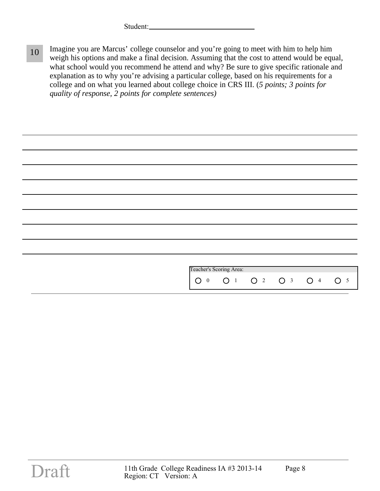10 Imagine you are Marcus' college counselor and you're going to meet with him to help him weigh his options and make a final decision. Assuming that the cost to attend would be equal, what school would you recommend he attend and why? Be sure to give specific rationale and explanation as to why you're advising a particular college, based on his requirements for a college and on what you learned about college choice in CRS III. (*5 points; 3 points for quality of response, 2 points for complete sentences)*

| Teacher's Scoring Area:<br>O 0 O 1 O 2 O 3 O 4 O 5 |  |
|----------------------------------------------------|--|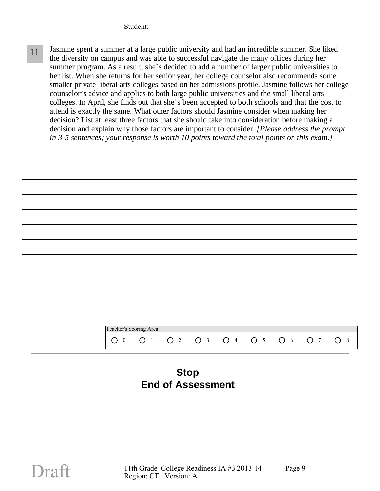11 Jasmine spent a summer at a large public university and had an incredible summer. She liked the diversity on campus and was able to successful navigate the many offices during her summer program. As a result, she's decided to add a number of larger public universities to her list. When she returns for her senior year, her college counselor also recommends some smaller private liberal arts colleges based on her admissions profile. Jasmine follows her college counselor's advice and applies to both large public universities and the small liberal arts colleges. In April, she finds out that she's been accepted to both schools and that the cost to attend is exactly the same. What other factors should Jasmine consider when making her decision? List at least three factors that she should take into consideration before making a decision and explain why those factors are important to consider. *[Please address the prompt in 3-5 sentences; your response is worth 10 points toward the total points on this exam.]*

|                         | Teacher's Scoring Area: |  |                     |                |    |
|-------------------------|-------------------------|--|---------------------|----------------|----|
| ∩                       |                         |  |                     |                |    |
| $\overline{\mathbf{0}}$ | ∩                       |  | O 2 O 3 O 4 O 5 O 6 | O <sub>7</sub> | O8 |

## **Stop End of Assessment**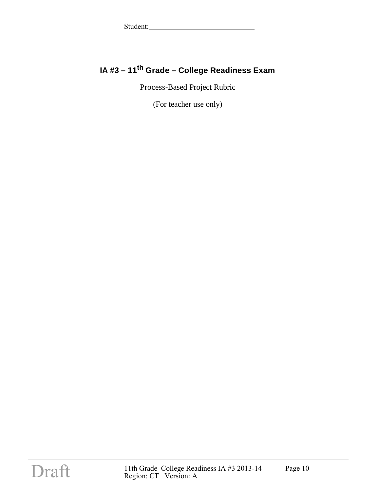### **IA #3 – 11th Grade – College Readiness Exam**

Process-Based Project Rubric

(For teacher use only)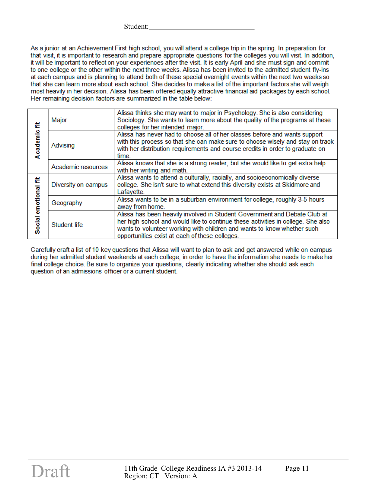As a junior at an Achievement First high school, you will attend a college trip in the spring. In preparation for that visit, it is important to research and prepare appropriate questions for the colleges you will visit. In addition, it will be important to reflect on your experiences after the visit. It is early April and she must sign and commit to one college or the other within the next three weeks. Alissa has been invited to the admitted student fly-ins at each campus and is planning to attend both of these special overnight events within the next two weeks so that she can learn more about each school. She decides to make a list of the important factors she will weigh most heavily in her decision. Alissa has been offered equally attractive financial aid packages by each school. Her remaining decision factors are summarized in the table below:

| ë<br>Academic            | Major               | Alissa thinks she may want to major in Psychology. She is also considering<br>Sociology. She wants to learn more about the quality of the programs at these<br>colleges for her intended major.                                                                                            |
|--------------------------|---------------------|--------------------------------------------------------------------------------------------------------------------------------------------------------------------------------------------------------------------------------------------------------------------------------------------|
|                          | Advising            | Alissa has never had to choose all of her classes before and wants support<br>with this process so that she can make sure to choose wisely and stay on track<br>with her distribution requirements and course credits in order to graduate on<br>time.                                     |
|                          | Academic resources  | Alissa knows that she is a strong reader, but she would like to get extra help<br>with her writing and math.                                                                                                                                                                               |
| ŧ<br>emotional<br>Social | Diversity on campus | Alissa wants to attend a culturally, racially, and socioeconomically diverse<br>college. She isn't sure to what extend this diversity exists at Skidmore and<br>Lafayette.                                                                                                                 |
|                          | Geography           | Alissa wants to be in a suburban environment for college, roughly 3-5 hours<br>away from home.                                                                                                                                                                                             |
|                          | Student life        | Alissa has been heavily involved in Student Government and Debate Club at<br>her high school and would like to continue these activities in college. She also<br>wants to volunteer working with children and wants to know whether such<br>opportunities exist at each of these colleges. |

Carefully craft a list of 10 key questions that Alissa will want to plan to ask and get answered while on campus during her admitted student weekends at each college, in order to have the information she needs to make her final college choice. Be sure to organize your questions, clearly indicating whether she should ask each question of an admissions officer or a current student.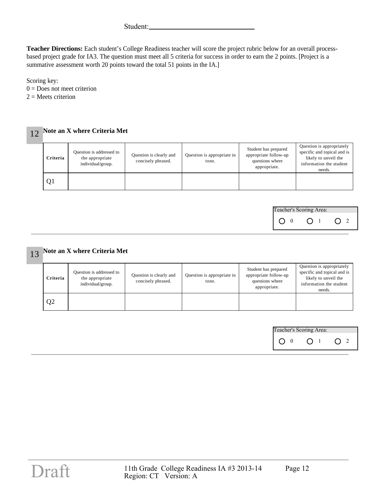**Teacher Directions:** Each student's College Readiness teacher will score the project rubric below for an overall processbased project grade for IA3. The question must meet all 5 criteria for success in order to earn the 2 points. [Project is a summative assessment worth 20 points toward the total 51 points in the IA.]

Scoring key:

 $0 =$  Does not meet criterion

 $2 =$  Meets criterion

| Note an X where Criteria Met |                                                                  |                                               |                                     |                                                                                  |                                                                                                                       |  |  |  |  |
|------------------------------|------------------------------------------------------------------|-----------------------------------------------|-------------------------------------|----------------------------------------------------------------------------------|-----------------------------------------------------------------------------------------------------------------------|--|--|--|--|
| Criteria                     | Question is addressed to<br>the appropriate<br>individual/group. | Question is clearly and<br>concisely phrased. | Question is appropriate in<br>tone. | Student has prepared<br>appropriate follow-up<br>questions where<br>appropriate. | Question is appropriately<br>specific and topical and is<br>likely to unveil the<br>information the student<br>needs. |  |  |  |  |
| Q <sub>1</sub>               |                                                                  |                                               |                                     |                                                                                  |                                                                                                                       |  |  |  |  |

| Teacher's Scoring Area: |  |  |  |  |  |  |  |
|-------------------------|--|--|--|--|--|--|--|
|                         |  |  |  |  |  |  |  |

| Criteria       | Question is addressed to<br>the appropriate<br>individual/group. | Question is clearly and<br>concisely phrased. | Question is appropriate in<br>tone. | Student has prepared<br>appropriate follow-up<br>questions where<br>appropriate. | Question is appropriately<br>specific and topical and is<br>likely to unveil the<br>information the student<br>needs. |
|----------------|------------------------------------------------------------------|-----------------------------------------------|-------------------------------------|----------------------------------------------------------------------------------|-----------------------------------------------------------------------------------------------------------------------|
| Q <sub>2</sub> |                                                                  |                                               |                                     |                                                                                  |                                                                                                                       |

| Teacher's Scoring Area: |  |  |  |  |  |  |
|-------------------------|--|--|--|--|--|--|
|                         |  |  |  |  |  |  |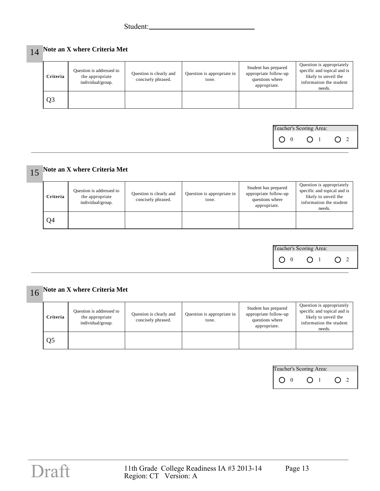# 14 **Note an X where Criteria Met**

| Criteria | Question is addressed to<br>the appropriate<br>individual/group. | Question is clearly and<br>concisely phrased. | Question is appropriate in<br>tone. | Student has prepared<br>appropriate follow-up<br>questions where<br>appropriate. | Question is appropriately<br>specific and topical and is<br>likely to unveil the<br>information the student<br>needs. |
|----------|------------------------------------------------------------------|-----------------------------------------------|-------------------------------------|----------------------------------------------------------------------------------|-----------------------------------------------------------------------------------------------------------------------|
| Q3       |                                                                  |                                               |                                     |                                                                                  |                                                                                                                       |

| Teacher's Scoring Area: |  |  |  |  |  |  |
|-------------------------|--|--|--|--|--|--|
|                         |  |  |  |  |  |  |

## 15 **Note an X where Criteria Met**

| Criteria | Question is addressed to<br>the appropriate<br>individual/group. | Question is clearly and<br>concisely phrased. | Question is appropriate in<br>tone. | Student has prepared<br>appropriate follow-up<br>questions where<br>appropriate. | Question is appropriately<br>specific and topical and is<br>likely to unveil the<br>information the student<br>needs. |
|----------|------------------------------------------------------------------|-----------------------------------------------|-------------------------------------|----------------------------------------------------------------------------------|-----------------------------------------------------------------------------------------------------------------------|
| Q4       |                                                                  |                                               |                                     |                                                                                  |                                                                                                                       |



| Criteria | Question is addressed to<br>the appropriate<br>individual/group. | Question is clearly and<br>concisely phrased. | Question is appropriate in<br>tone. | Student has prepared<br>appropriate follow-up<br>questions where<br>appropriate. | Question is appropriately<br>specific and topical and is<br>likely to unveil the<br>information the student<br>needs. |
|----------|------------------------------------------------------------------|-----------------------------------------------|-------------------------------------|----------------------------------------------------------------------------------|-----------------------------------------------------------------------------------------------------------------------|
| Q5       |                                                                  |                                               |                                     |                                                                                  |                                                                                                                       |

| Teacher's Scoring Area: |  |  |  |  |  |  |
|-------------------------|--|--|--|--|--|--|
|                         |  |  |  |  |  |  |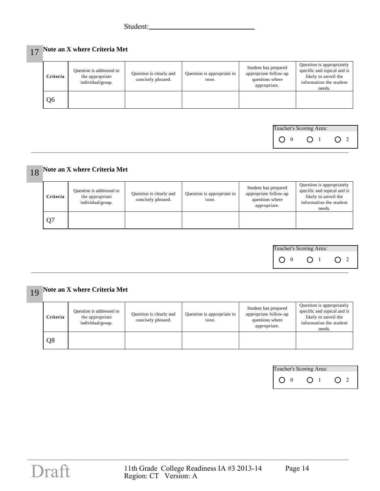# 17 **Note an X where Criteria Met**

| Criteria | Question is addressed to<br>the appropriate<br>individual/group. | Question is clearly and<br>concisely phrased. | Question is appropriate in<br>tone. | Student has prepared<br>appropriate follow-up<br>questions where<br>appropriate. | Question is appropriately<br>specific and topical and is<br>likely to unveil the<br>information the student<br>needs. |
|----------|------------------------------------------------------------------|-----------------------------------------------|-------------------------------------|----------------------------------------------------------------------------------|-----------------------------------------------------------------------------------------------------------------------|
| Q6       |                                                                  |                                               |                                     |                                                                                  |                                                                                                                       |

| Teacher's Scoring Area: |  |  |  |  |  |  |
|-------------------------|--|--|--|--|--|--|
|                         |  |  |  |  |  |  |

# 18 **Note an X where Criteria Met**

| Criteria       | Question is addressed to<br>the appropriate<br>individual/group. | Question is clearly and<br>concisely phrased. | Question is appropriate in<br>tone. | Student has prepared<br>appropriate follow-up<br>questions where<br>appropriate. | Question is appropriately<br>specific and topical and is<br>likely to unveil the<br>information the student<br>needs. |
|----------------|------------------------------------------------------------------|-----------------------------------------------|-------------------------------------|----------------------------------------------------------------------------------|-----------------------------------------------------------------------------------------------------------------------|
| Q <sub>7</sub> |                                                                  |                                               |                                     |                                                                                  |                                                                                                                       |



| Criteria | Question is addressed to<br>the appropriate<br>individual/group. | Question is clearly and<br>concisely phrased. | Question is appropriate in<br>tone. | Student has prepared<br>appropriate follow-up<br>questions where<br>appropriate. | Question is appropriately<br>specific and topical and is<br>likely to unveil the<br>information the student<br>needs. |
|----------|------------------------------------------------------------------|-----------------------------------------------|-------------------------------------|----------------------------------------------------------------------------------|-----------------------------------------------------------------------------------------------------------------------|
| Q8       |                                                                  |                                               |                                     |                                                                                  |                                                                                                                       |

| Teacher's Scoring Area: |  |  |  |  |  |
|-------------------------|--|--|--|--|--|
|                         |  |  |  |  |  |